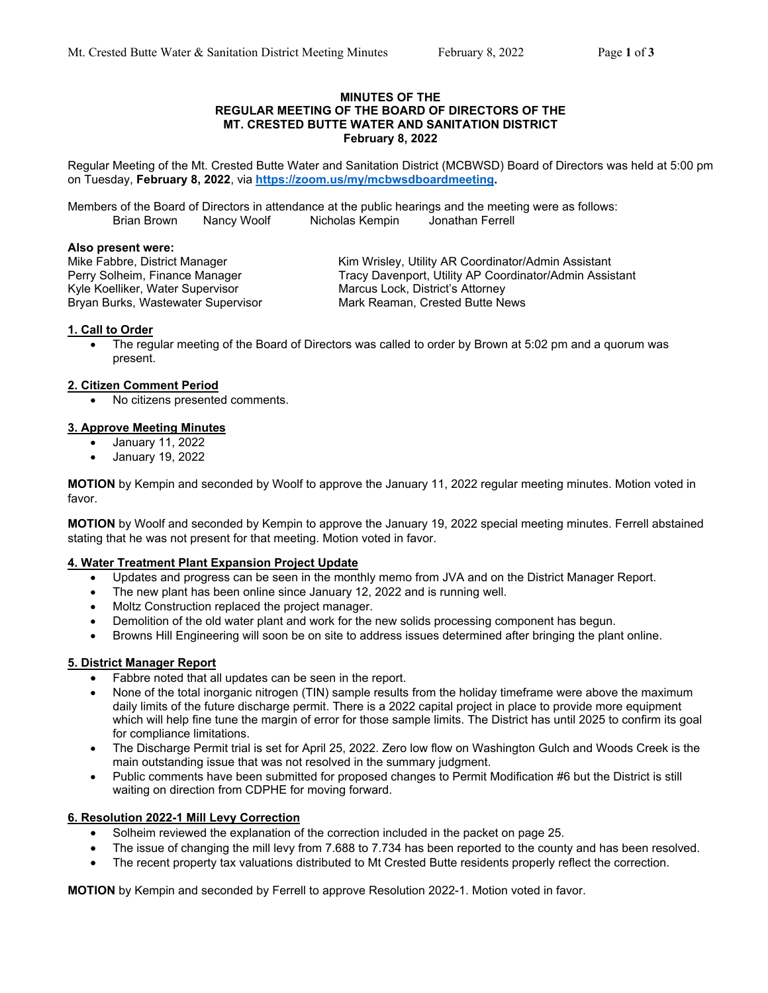#### **MINUTES OF THE REGULAR MEETING OF THE BOARD OF DIRECTORS OF THE MT. CRESTED BUTTE WATER AND SANITATION DISTRICT February 8, 2022**

Regular Meeting of the Mt. Crested Butte Water and Sanitation District (MCBWSD) Board of Directors was held at 5:00 pm on Tuesday, **February 8, 2022**, via **https://zoom.us/my/mcbwsdboardmeeting.**

Members of the Board of Directors in attendance at the public hearings and the meeting were as follows: Brian Brown Nancy Woolf Nicholas Kempin

#### **Also present were:**

Kyle Koelliker, Water Supervisor Marcus Lock, District's Attorney<br>Bryan Burks, Wastewater Supervisor Mark Reaman, Crested Butte News Bryan Burks, Wastewater Supervisor

Mike Fabbre, District Manager Kim Wrisley, Utility AR Coordinator/Admin Assistant Perry Solheim, Finance Manager Tracy Davenport, Utility AP Coordinator/Admin Assistant

## **1. Call to Order**

 The regular meeting of the Board of Directors was called to order by Brown at 5:02 pm and a quorum was present.

## **2. Citizen Comment Period**

No citizens presented comments.

## **3. Approve Meeting Minutes**

- January 11, 2022
- January 19, 2022

**MOTION** by Kempin and seconded by Woolf to approve the January 11, 2022 regular meeting minutes. Motion voted in favor.

**MOTION** by Woolf and seconded by Kempin to approve the January 19, 2022 special meeting minutes. Ferrell abstained stating that he was not present for that meeting. Motion voted in favor.

# **4. Water Treatment Plant Expansion Project Update**

- Updates and progress can be seen in the monthly memo from JVA and on the District Manager Report.
- The new plant has been online since January 12, 2022 and is running well.
- Moltz Construction replaced the project manager.
- Demolition of the old water plant and work for the new solids processing component has begun.
- Browns Hill Engineering will soon be on site to address issues determined after bringing the plant online.

# **5. District Manager Report**

- Fabbre noted that all updates can be seen in the report.
- None of the total inorganic nitrogen (TIN) sample results from the holiday timeframe were above the maximum daily limits of the future discharge permit. There is a 2022 capital project in place to provide more equipment which will help fine tune the margin of error for those sample limits. The District has until 2025 to confirm its goal for compliance limitations.
- The Discharge Permit trial is set for April 25, 2022. Zero low flow on Washington Gulch and Woods Creek is the main outstanding issue that was not resolved in the summary judgment.
- Public comments have been submitted for proposed changes to Permit Modification #6 but the District is still waiting on direction from CDPHE for moving forward.

# **6. Resolution 2022-1 Mill Levy Correction**

- Solheim reviewed the explanation of the correction included in the packet on page 25.
- The issue of changing the mill levy from 7.688 to 7.734 has been reported to the county and has been resolved.
- The recent property tax valuations distributed to Mt Crested Butte residents properly reflect the correction.

**MOTION** by Kempin and seconded by Ferrell to approve Resolution 2022-1. Motion voted in favor.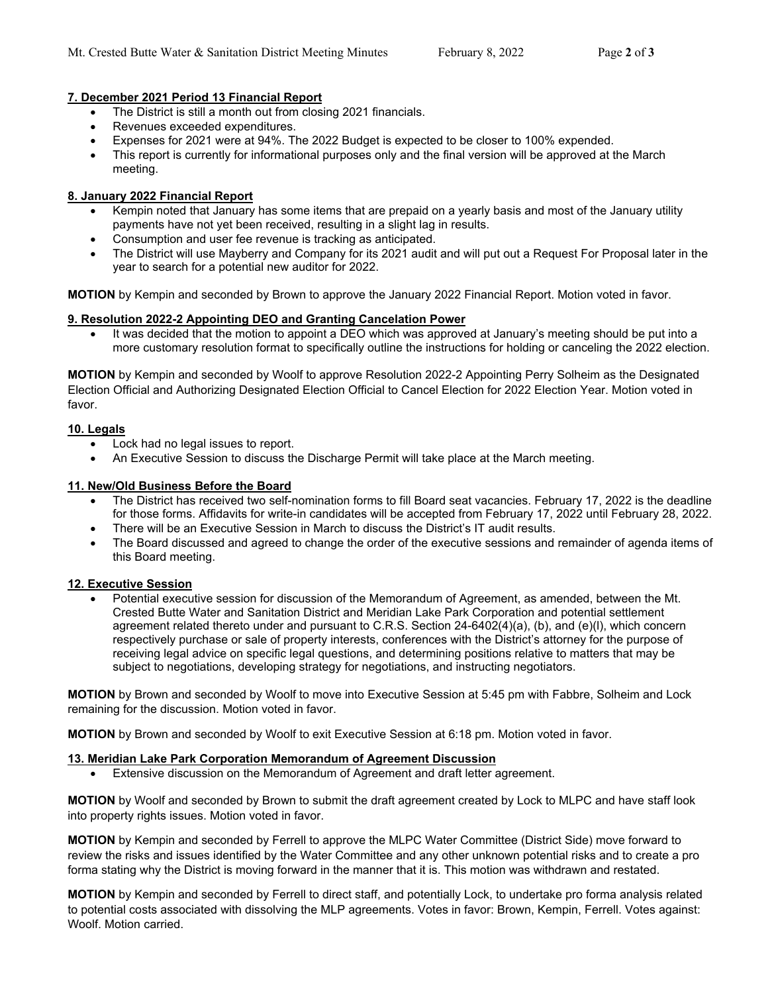## **7. December 2021 Period 13 Financial Report**

- The District is still a month out from closing 2021 financials.
- Revenues exceeded expenditures.
- Expenses for 2021 were at 94%. The 2022 Budget is expected to be closer to 100% expended.
- This report is currently for informational purposes only and the final version will be approved at the March meeting.

# **8. January 2022 Financial Report**

- Kempin noted that January has some items that are prepaid on a yearly basis and most of the January utility payments have not yet been received, resulting in a slight lag in results.
- Consumption and user fee revenue is tracking as anticipated.
- The District will use Mayberry and Company for its 2021 audit and will put out a Request For Proposal later in the year to search for a potential new auditor for 2022.

**MOTION** by Kempin and seconded by Brown to approve the January 2022 Financial Report. Motion voted in favor.

## **9. Resolution 2022-2 Appointing DEO and Granting Cancelation Power**

 It was decided that the motion to appoint a DEO which was approved at January's meeting should be put into a more customary resolution format to specifically outline the instructions for holding or canceling the 2022 election.

**MOTION** by Kempin and seconded by Woolf to approve Resolution 2022-2 Appointing Perry Solheim as the Designated Election Official and Authorizing Designated Election Official to Cancel Election for 2022 Election Year. Motion voted in favor.

## **10. Legals**

- Lock had no legal issues to report.
- An Executive Session to discuss the Discharge Permit will take place at the March meeting.

## **11. New/Old Business Before the Board**

- The District has received two self-nomination forms to fill Board seat vacancies. February 17, 2022 is the deadline for those forms. Affidavits for write-in candidates will be accepted from February 17, 2022 until February 28, 2022.
- There will be an Executive Session in March to discuss the District's IT audit results.
- The Board discussed and agreed to change the order of the executive sessions and remainder of agenda items of this Board meeting.

#### **12. Executive Session**

 Potential executive session for discussion of the Memorandum of Agreement, as amended, between the Mt. Crested Butte Water and Sanitation District and Meridian Lake Park Corporation and potential settlement agreement related thereto under and pursuant to C.R.S. Section 24-6402(4)(a), (b), and (e)(l), which concern respectively purchase or sale of property interests, conferences with the District's attorney for the purpose of receiving legal advice on specific legal questions, and determining positions relative to matters that may be subject to negotiations, developing strategy for negotiations, and instructing negotiators.

**MOTION** by Brown and seconded by Woolf to move into Executive Session at 5:45 pm with Fabbre, Solheim and Lock remaining for the discussion. Motion voted in favor.

**MOTION** by Brown and seconded by Woolf to exit Executive Session at 6:18 pm. Motion voted in favor.

#### **13. Meridian Lake Park Corporation Memorandum of Agreement Discussion**

Extensive discussion on the Memorandum of Agreement and draft letter agreement.

**MOTION** by Woolf and seconded by Brown to submit the draft agreement created by Lock to MLPC and have staff look into property rights issues. Motion voted in favor.

**MOTION** by Kempin and seconded by Ferrell to approve the MLPC Water Committee (District Side) move forward to review the risks and issues identified by the Water Committee and any other unknown potential risks and to create a pro forma stating why the District is moving forward in the manner that it is. This motion was withdrawn and restated.

**MOTION** by Kempin and seconded by Ferrell to direct staff, and potentially Lock, to undertake pro forma analysis related to potential costs associated with dissolving the MLP agreements. Votes in favor: Brown, Kempin, Ferrell. Votes against: Woolf. Motion carried.